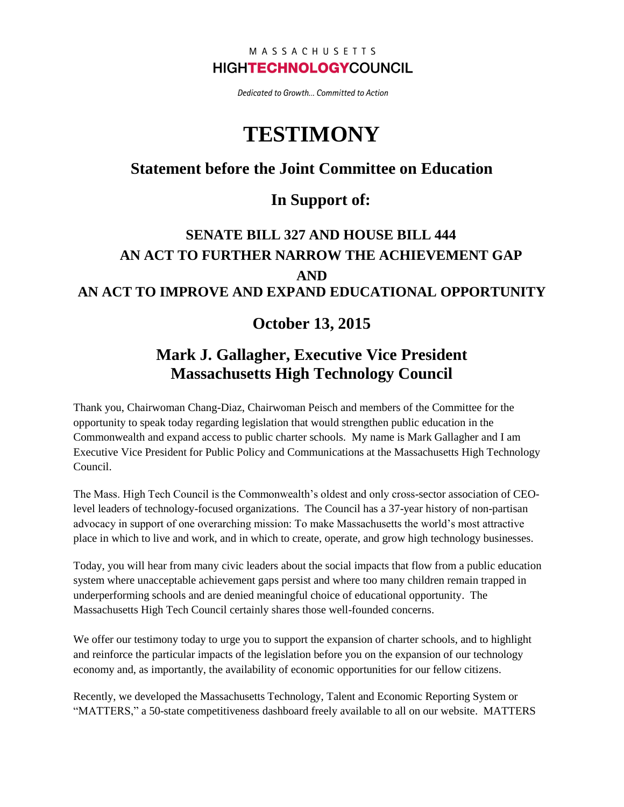#### MASSACHUSETTS **HIGHTECHNOLOGYCOUNCIL**

Dedicated to Growth... Committed to Action

# **TESTIMONY**

### **Statement before the Joint Committee on Education**

#### **In Support of:**

# **SENATE BILL 327 AND HOUSE BILL 444 AN ACT TO FURTHER NARROW THE ACHIEVEMENT GAP AND AN ACT TO IMPROVE AND EXPAND EDUCATIONAL OPPORTUNITY**

#### **October 13, 2015**

# **Mark J. Gallagher, Executive Vice President Massachusetts High Technology Council**

Thank you, Chairwoman Chang-Diaz, Chairwoman Peisch and members of the Committee for the opportunity to speak today regarding legislation that would strengthen public education in the Commonwealth and expand access to public charter schools. My name is Mark Gallagher and I am Executive Vice President for Public Policy and Communications at the Massachusetts High Technology Council.

The Mass. High Tech Council is the Commonwealth's oldest and only cross-sector association of CEOlevel leaders of technology-focused organizations. The Council has a 37-year history of non-partisan advocacy in support of one overarching mission: To make Massachusetts the world's most attractive place in which to live and work, and in which to create, operate, and grow high technology businesses.

Today, you will hear from many civic leaders about the social impacts that flow from a public education system where unacceptable achievement gaps persist and where too many children remain trapped in underperforming schools and are denied meaningful choice of educational opportunity. The Massachusetts High Tech Council certainly shares those well-founded concerns.

We offer our testimony today to urge you to support the expansion of charter schools, and to highlight and reinforce the particular impacts of the legislation before you on the expansion of our technology economy and, as importantly, the availability of economic opportunities for our fellow citizens.

Recently, we developed the Massachusetts Technology, Talent and Economic Reporting System or "MATTERS," a 50-state competitiveness dashboard freely available to all on our website. MATTERS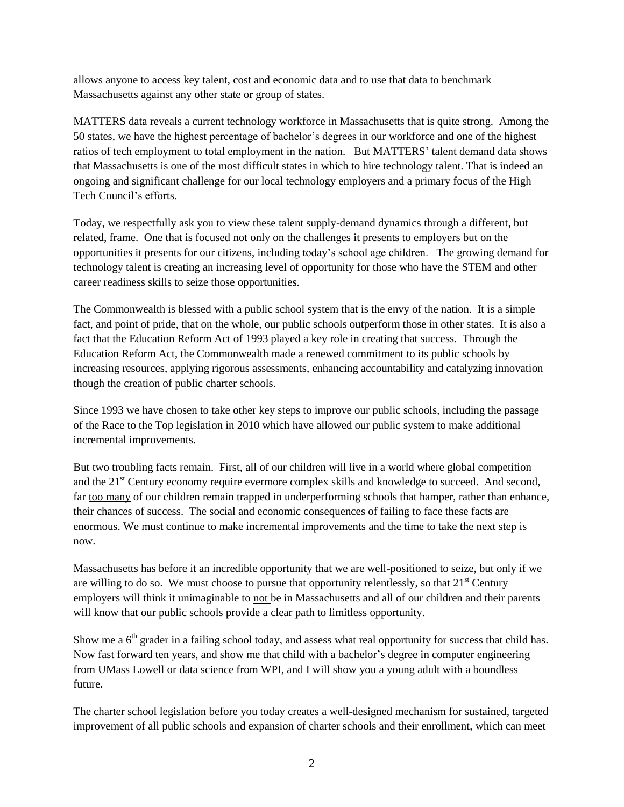allows anyone to access key talent, cost and economic data and to use that data to benchmark Massachusetts against any other state or group of states.

MATTERS data reveals a current technology workforce in Massachusetts that is quite strong. Among the 50 states, we have the highest percentage of bachelor's degrees in our workforce and one of the highest ratios of tech employment to total employment in the nation. But MATTERS' talent demand data shows that Massachusetts is one of the most difficult states in which to hire technology talent. That is indeed an ongoing and significant challenge for our local technology employers and a primary focus of the High Tech Council's efforts.

Today, we respectfully ask you to view these talent supply-demand dynamics through a different, but related, frame. One that is focused not only on the challenges it presents to employers but on the opportunities it presents for our citizens, including today's school age children. The growing demand for technology talent is creating an increasing level of opportunity for those who have the STEM and other career readiness skills to seize those opportunities.

The Commonwealth is blessed with a public school system that is the envy of the nation. It is a simple fact, and point of pride, that on the whole, our public schools outperform those in other states. It is also a fact that the Education Reform Act of 1993 played a key role in creating that success. Through the Education Reform Act, the Commonwealth made a renewed commitment to its public schools by increasing resources, applying rigorous assessments, enhancing accountability and catalyzing innovation though the creation of public charter schools.

Since 1993 we have chosen to take other key steps to improve our public schools, including the passage of the Race to the Top legislation in 2010 which have allowed our public system to make additional incremental improvements.

But two troubling facts remain. First, all of our children will live in a world where global competition and the 21<sup>st</sup> Century economy require evermore complex skills and knowledge to succeed. And second, far too many of our children remain trapped in underperforming schools that hamper, rather than enhance, their chances of success. The social and economic consequences of failing to face these facts are enormous. We must continue to make incremental improvements and the time to take the next step is now.

Massachusetts has before it an incredible opportunity that we are well-positioned to seize, but only if we are willing to do so. We must choose to pursue that opportunity relentlessly, so that  $21<sup>st</sup>$  Century employers will think it unimaginable to not be in Massachusetts and all of our children and their parents will know that our public schools provide a clear path to limitless opportunity.

Show me a  $6<sup>th</sup>$  grader in a failing school today, and assess what real opportunity for success that child has. Now fast forward ten years, and show me that child with a bachelor's degree in computer engineering from UMass Lowell or data science from WPI, and I will show you a young adult with a boundless future.

The charter school legislation before you today creates a well-designed mechanism for sustained, targeted improvement of all public schools and expansion of charter schools and their enrollment, which can meet